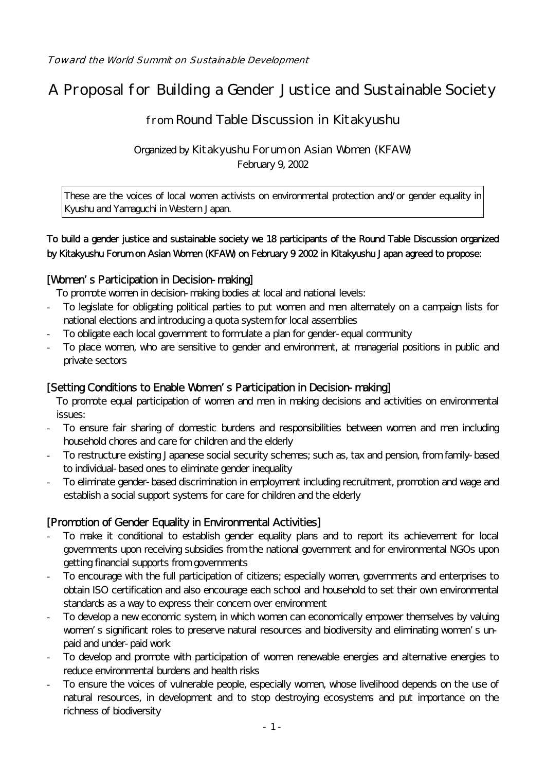# A Proposal for Building a Gender Justice and Sustainable Society

## from Round Table Discussion in Kitakyushu

Organized by Kitakyushu Forum on Asian Women (KFAW) February 9, 2002

These are the voices of local women activists on environmental protection and/or gender equality in Kyushu and Yamaguchi in Western Japan.

#### To build a gender justice and sustainable society we 18 participants of the Round Table Discussion organized by Kitakyushu Forum on Asian Women (KFAW) on February 9 2002 in Kitakyushu Japan agreed to propose:

## [Women's Participation in Decision-making]

To promote women in decision-making bodies at local and national levels:

- To legislate for obligating political parties to put women and men alternately on a campaign lists for national elections and introducing a quota system for local assemblies
- To obligate each local government to formulate a plan for gender-equal community
- To place women, who are sensitive to gender and environment, at managerial positions in public and private sectors

#### [Setting Conditions to Enable Women's Participation in Decision-making]

To promote equal participation of women and men in making decisions and activities on environmental issues:

- To ensure fair sharing of domestic burdens and responsibilities between women and men including household chores and care for children and the elderly
- To restructure existing Japanese social security schemes; such as, tax and pension, from family-based to individual-based ones to eliminate gender inequality
- To eliminate gender-based discrimination in employment including recruitment, promotion and wage and establish a social support systems for care for children and the elderly

## [Promotion of Gender Equality in Environmental Activities]

- To make it conditional to establish gender equality plans and to report its achievement for local governments upon receiving subsidies from the national government and for environmental NGOs upon getting financial supports from governments
- To encourage with the full participation of citizens; especially women, governments and enterprises to obtain ISO certification and also encourage each school and household to set their own environmental standards as a way to express their concern over environment
- To develop a new economic system, in which women can economically empower themselves by valuing women's significant roles to preserve natural resources and biodiversity and eliminating women's unpaid and under-paid work
- To develop and promote with participation of women renewable energies and alternative energies to reduce environmental burdens and health risks
- To ensure the voices of vulnerable people, especially women, whose livelihood depends on the use of natural resources, in development and to stop destroying ecosystems and put importance on the richness of biodiversity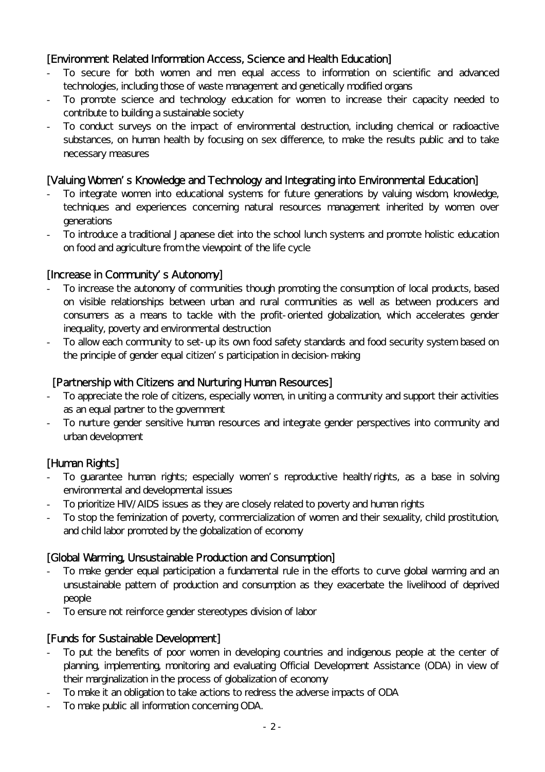## [Environment Related Information Access, Science and Health Education]

- To secure for both women and men equal access to information on scientific and advanced technologies, including those of waste management and genetically modified organs
- To promote science and technology education for women to increase their capacity needed to contribute to building a sustainable society
- To conduct surveys on the impact of environmental destruction, including chemical or radioactive substances, on human health by focusing on sex difference, to make the results public and to take necessary measures

#### [Valuing Women's Knowledge and Technology and Integrating into Environmental Education]

- To integrate women into educational systems for future generations by valuing wisdom, knowledge, techniques and experiences concerning natural resources management inherited by women over generations
- To introduce a traditional Japanese diet into the school lunch systems and promote holistic education on food and agriculture from the viewpoint of the life cycle

#### [Increase in Community's Autonomy]

- To increase the autonomy of communities though promoting the consumption of local products, based on visible relationships between urban and rural communities as well as between producers and consumers as a means to tackle with the profit-oriented globalization, which accelerates gender inequality, poverty and environmental destruction
- To allow each community to set-up its own food safety standards and food security system based on the principle of gender equal citizen's participation in decision-making

#### [Partnership with Citizens and Nurturing Human Resources]

- To appreciate the role of citizens, especially women, in uniting a community and support their activities as an equal partner to the government
- To nurture gender sensitive human resources and integrate gender perspectives into community and urban development

#### [Human Rights]

- To guarantee human rights; especially women's reproductive health/rights, as a base in solving environmental and developmental issues
- To prioritize HIV/AIDS issues as they are closely related to poverty and human rights
- To stop the feminization of poverty, commercialization of women and their sexuality, child prostitution, and child labor promoted by the globalization of economy

#### [Global Warming, Unsustainable Production and Consumption]

- To make gender equal participation a fundamental rule in the efforts to curve global warming and an unsustainable pattern of production and consumption as they exacerbate the livelihood of deprived people
- To ensure not reinforce gender stereotypes division of labor

## [Funds for Sustainable Development]

- To put the benefits of poor women in developing countries and indigenous people at the center of planning, implementing, monitoring and evaluating Official Development Assistance (ODA) in view of their marginalization in the process of globalization of economy
- To make it an obligation to take actions to redress the adverse impacts of ODA
- To make public all information concerning ODA.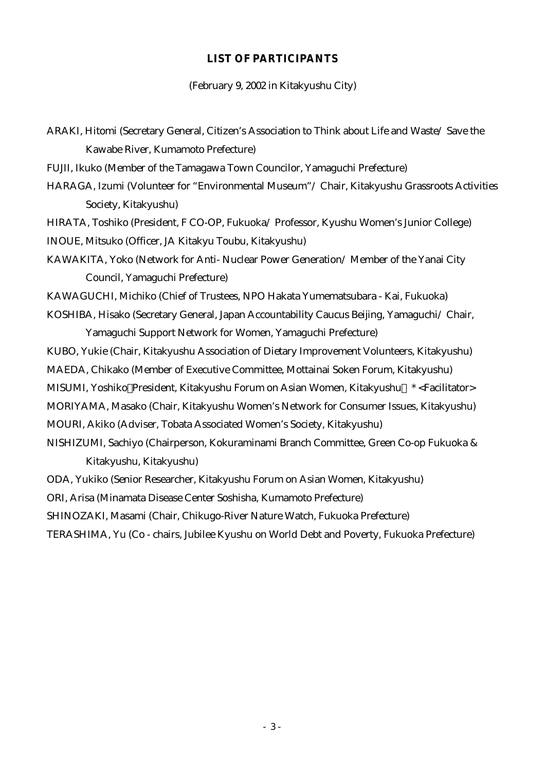#### **LIST OF PARTICIPANTS**

(February 9, 2002 in Kitakyushu City)

ARAKI, Hitomi (Secretary General, Citizen's Association to Think about Life and Waste/ Save the Kawabe River, Kumamoto Prefecture) FUJII, Ikuko (Member of the Tamagawa Town Councilor, Yamaguchi Prefecture) HARAGA, Izumi (Volunteer for "Environmental Museum"/ Chair, Kitakyushu Grassroots Activities Society, Kitakyushu) HIRATA, Toshiko (President, F CO-OP, Fukuoka/ Professor, Kyushu Women's Junior College) INOUE, Mitsuko (Officer, JA Kitakyu Toubu, Kitakyushu) KAWAKITA, Yoko (Network for Anti- Nuclear Power Generation/ Member of the Yanai City Council, Yamaguchi Prefecture) KAWAGUCHI, Michiko (Chief of Trustees, NPO Hakata Yumematsubara - Kai, Fukuoka) KOSHIBA, Hisako (Secretary General, Japan Accountability Caucus Beijing, Yamaguchi/ Chair, Yamaguchi Support Network for Women, Yamaguchi Prefecture) KUBO, Yukie (Chair, Kitakyushu Association of Dietary Improvement Volunteers, Kitakyushu) MAEDA, Chikako (Member of Executive Committee, Mottainai Soken Forum, Kitakyushu) MISUMI, Yoshiko President, Kitakyushu Forum on Asian Women, Kitakyushu \* <Facilitator> MORIYAMA, Masako (Chair, Kitakyushu Women's Network for Consumer Issues, Kitakyushu) MOURI, Akiko (Adviser, Tobata Associated Women's Society, Kitakyushu) NISHIZUMI, Sachiyo (Chairperson, Kokuraminami Branch Committee, Green Co-op Fukuoka & Kitakyushu, Kitakyushu) ODA, Yukiko (Senior Researcher, Kitakyushu Forum on Asian Women, Kitakyushu) ORI, Arisa (Minamata Disease Center Soshisha, Kumamoto Prefecture) SHINOZAKI, Masami (Chair, Chikugo-River Nature Watch, Fukuoka Prefecture)

TERASHIMA, Yu (Co - chairs, Jubilee Kyushu on World Debt and Poverty, Fukuoka Prefecture)